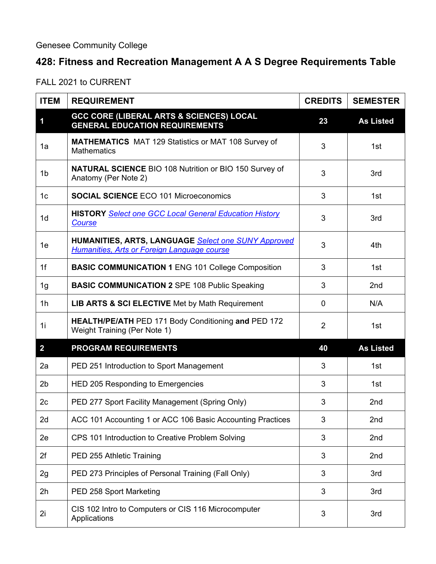## **428: Fitness and Recreation Management A A S Degree Requirements Table**

FALL 2021 to CURRENT

| <b>ITEM</b>    | <b>REQUIREMENT</b>                                                                                        | <b>CREDITS</b> | <b>SEMESTER</b>  |
|----------------|-----------------------------------------------------------------------------------------------------------|----------------|------------------|
| 1              | GCC CORE (LIBERAL ARTS & SCIENCES) LOCAL<br><b>GENERAL EDUCATION REQUIREMENTS</b>                         | 23             | <b>As Listed</b> |
| 1a             | <b>MATHEMATICS</b> MAT 129 Statistics or MAT 108 Survey of<br><b>Mathematics</b>                          | 3              | 1st              |
| 1 <sub>b</sub> | <b>NATURAL SCIENCE BIO 108 Nutrition or BIO 150 Survey of</b><br>Anatomy (Per Note 2)                     | 3              | 3rd              |
| 1 <sub>c</sub> | <b>SOCIAL SCIENCE ECO 101 Microeconomics</b>                                                              | 3              | 1st              |
| 1 <sub>d</sub> | <b>HISTORY</b> Select one GCC Local General Education History<br>Course                                   | 3              | 3rd              |
| 1e             | HUMANITIES, ARTS, LANGUAGE Select one SUNY Approved<br><b>Humanities, Arts or Foreign Language course</b> | 3              | 4th              |
| 1f             | <b>BASIC COMMUNICATION 1 ENG 101 College Composition</b>                                                  | 3              | 1st              |
| 1 <sub>g</sub> | <b>BASIC COMMUNICATION 2 SPE 108 Public Speaking</b>                                                      | 3              | 2nd              |
| 1 <sub>h</sub> | <b>LIB ARTS &amp; SCI ELECTIVE Met by Math Requirement</b>                                                | 0              | N/A              |
| 1i             | HEALTH/PE/ATH PED 171 Body Conditioning and PED 172<br>Weight Training (Per Note 1)                       | $\overline{2}$ | 1st              |
| $\overline{2}$ | <b>PROGRAM REQUIREMENTS</b>                                                                               | 40             | <b>As Listed</b> |
| 2a             | PED 251 Introduction to Sport Management                                                                  | 3              | 1st              |
| 2 <sub>b</sub> | HED 205 Responding to Emergencies                                                                         | 3              | 1st              |
| 2 <sub>c</sub> | PED 277 Sport Facility Management (Spring Only)                                                           | 3              | 2nd              |
| 2d             | ACC 101 Accounting 1 or ACC 106 Basic Accounting Practices                                                | 3              | 2nd              |
| 2e             | CPS 101 Introduction to Creative Problem Solving                                                          | 3              | 2nd              |
| 2f             | PED 255 Athletic Training                                                                                 | 3              | 2nd              |
| 2g             | PED 273 Principles of Personal Training (Fall Only)                                                       | 3              | 3rd              |
| 2h             | PED 258 Sport Marketing                                                                                   | 3              | 3rd              |
| 2i             | CIS 102 Intro to Computers or CIS 116 Microcomputer<br>Applications                                       | 3              | 3rd              |